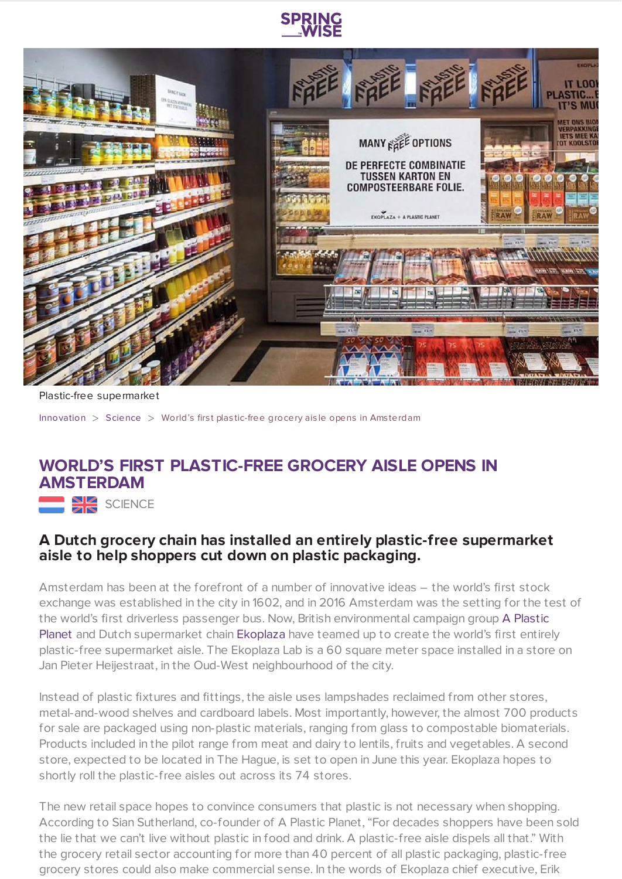



Plastic-free supermarket

[Innovation](https://www.springwise.com/search?type=innovation) > [Science](https://www.springwise.com/search?type=innovation§or=science-and-natural-world) > World's first plastic-free grocery aisle opens in Amsterdam

## **WORLD'S FIRST PLASTIC-FREE GROCERY AISLE OPENS IN AMSTERDAM**

SCIENCE

## **A Dutch grocery chain has installed an entirely plastic-free supermarket aisle to help shoppers cut down on plastic packaging.**

Amsterdam has been at the forefront of a number of innovative ideas – the world's first stock exchange was established in the city in 1602, and in 2016 Amsterdam was the setting for the test of the world's first driverless passenger bus. Now, British [environmental](http://aplasticplanet.com/) campaign group A Plastic Planet and Dutch supermarket chain [Ekoplaza](http://www.ekoplaza.nl/) have teamed up to create the world's first entirely plastic-free supermarket aisle. The Ekoplaza Lab is a 60 square meter space installed in a store on Jan Pieter Heijestraat, in the Oud-West neighbourhood of the city.

Instead of plastic fixtures and fittings, the aisle uses lampshades reclaimed from other stores, metal-and-wood shelves and cardboard labels. Most importantly, however, the almost 700 products for sale are packaged using non-plastic materials, ranging from glass to compostable biomaterials. Products included in the pilot range from meat and dairy to lentils, fruits and vegetables. A second store, expected to be located in The Hague, is set to open in June this year. Ekoplaza hopes to shortly roll the plastic-free aisles out across its 74 stores.

The new retail space hopes to convince consumers that plastic is not necessary when shopping. According to Sian Sutherland, co-founder of A Plastic Planet, "For decades shoppers have been sold the lie that we can't live without plastic in food and drink. A plastic-free aisle dispels all that." With the grocery retail sector accounting for more than 40 percent of all plastic packaging, plastic-free grocery stores could also make commercial sense. In the words of Ekoplaza chief executive, Erik